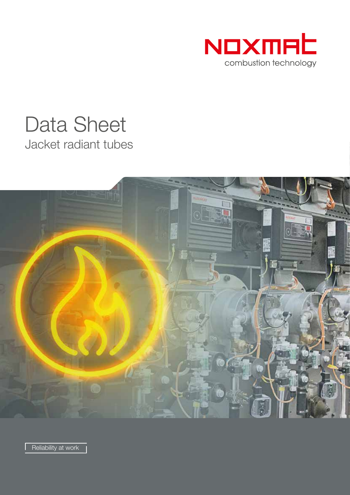

# Jacket radiant tubes Data Sheet



Reliability at work |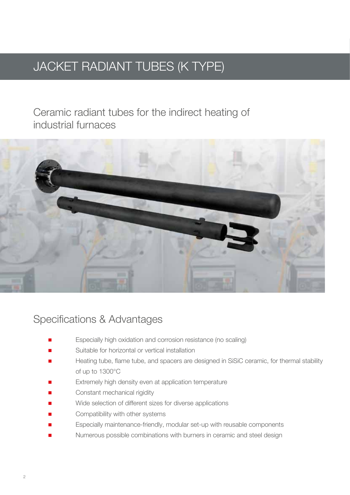## JACKET RADIANT TUBES (K TYPE)

Ceramic radiant tubes for the indirect heating of industrial furnaces



#### Specifications & Advantages

- Especially high oxidation and corrosion resistance (no scaling)
- Suitable for horizontal or vertical installation
- Heating tube, flame tube, and spacers are designed in SiSiC ceramic, for thermal stability of up to 1300°C
- Extremely high density even at application temperature
- Constant mechanical rigidity
- Wide selection of different sizes for diverse applications
- Compatibility with other systems
- Especially maintenance-friendly, modular set-up with reusable components
- Numerous possible combinations with burners in ceramic and steel design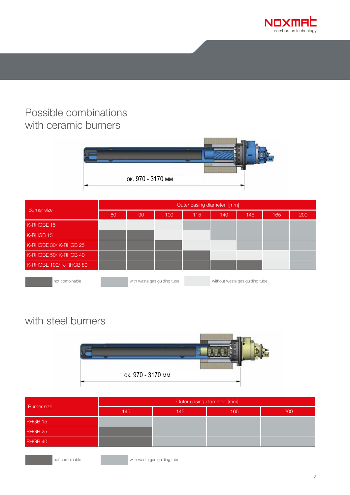

#### Possible combinations with ceramic burners



| <b>Burner</b> size    | Outer casing diameter [mm] |                             |     |     |     |                                |     |     |
|-----------------------|----------------------------|-----------------------------|-----|-----|-----|--------------------------------|-----|-----|
|                       | 80                         | 90                          | 100 | 115 | 140 | 145                            | 165 | 200 |
| K-RHGBE 15            |                            |                             |     |     |     |                                |     |     |
| K-RHGB 15             |                            |                             |     |     |     |                                |     |     |
| K-RHGBE 30/K-RHGB 25  |                            |                             |     |     |     |                                |     |     |
| K-RHGBE 50/K-RHGB 40  |                            |                             |     |     |     |                                |     |     |
| K-RHGBE 100/K-RHGB 80 |                            |                             |     |     |     |                                |     |     |
| not combinable        |                            | with waste gas guiding tube |     |     |     | without waste gas guiding tube |     |     |

#### with steel burners



| <b>Burner</b> size | Outer casing diameter [mm] |     |     |     |  |  |
|--------------------|----------------------------|-----|-----|-----|--|--|
|                    | 140                        | 145 | 165 | 200 |  |  |
| RHGB 15            |                            |     |     |     |  |  |
| RHGB 25            |                            |     |     |     |  |  |
| RHGB 40            |                            |     |     |     |  |  |
|                    |                            |     |     |     |  |  |

**not combinable** with waste gas guiding tube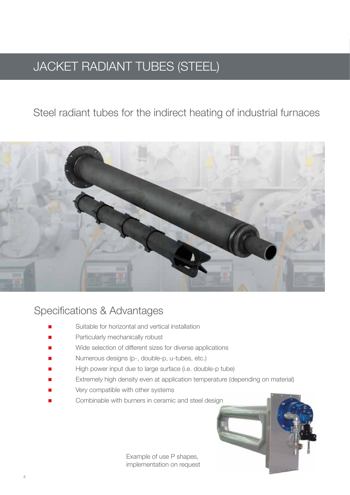## JACKET RADIANT TUBES (STEEL)

#### Steel radiant tubes for the indirect heating of industrial furnaces



#### Specifications & Advantages

- Suitable for horizontal and vertical installation
- Particularly mechanically robust
- Wide selection of different sizes for diverse applications
- Numerous designs (p-, double-p, u-tubes, etc.)
- High power input due to large surface (i.e. double-p tube)
- Extremely high density even at application temperature (depending on material)
- Very compatible with other systems
- Combinable with burners in ceramic and steel design



Example of use P shapes, implementation on request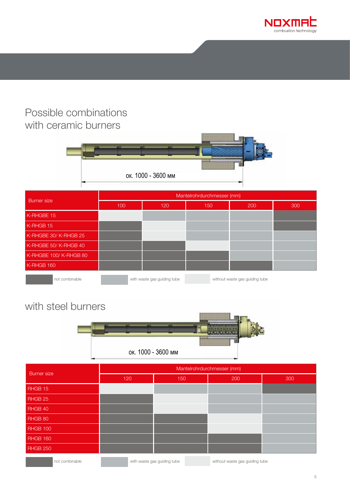

#### Possible combinations with ceramic burners



| <b>Burner</b> size    | Mantelrohrdurchmesser (mm) |                             |     |                                |     |  |  |
|-----------------------|----------------------------|-----------------------------|-----|--------------------------------|-----|--|--|
|                       | 100                        | 120                         | 150 | 200                            | 300 |  |  |
| K-RHGBE 15            |                            |                             |     |                                |     |  |  |
| K-RHGB 15             |                            |                             |     |                                |     |  |  |
| K-RHGBE 30/K-RHGB 25  |                            |                             |     |                                |     |  |  |
| K-RHGBE 50/K-RHGB 40  |                            |                             |     |                                |     |  |  |
| K-RHGBE 100/K-RHGB 80 |                            |                             |     |                                |     |  |  |
| K-RHGB 160            |                            |                             |     |                                |     |  |  |
| not combinable        |                            | with waste gas guiding tube |     | without waste gas guiding tube |     |  |  |

### with steel burners



| <b>Burner</b> size | Mantelrohrdurchmesser (mm) |                             |                                |     |  |  |  |
|--------------------|----------------------------|-----------------------------|--------------------------------|-----|--|--|--|
|                    | 120                        | 150                         | 200                            | 300 |  |  |  |
| RHGB 15            |                            |                             |                                |     |  |  |  |
| RHGB 25            |                            |                             |                                |     |  |  |  |
| RHGB 40            |                            |                             |                                |     |  |  |  |
| RHGB 80            |                            |                             |                                |     |  |  |  |
| <b>RHGB 100</b>    |                            |                             |                                |     |  |  |  |
| <b>RHGB 160</b>    |                            |                             |                                |     |  |  |  |
| <b>RHGB 250</b>    |                            |                             |                                |     |  |  |  |
| not combinable     |                            | with waste gas guiding tube | without waste gas guiding tube |     |  |  |  |